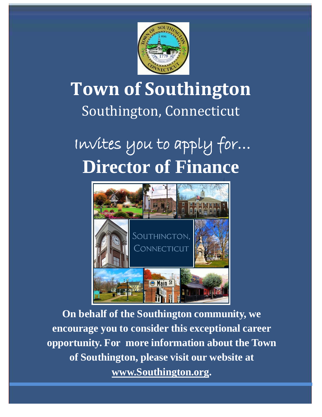

## **Town of Southington** Southington, Connecticut

# Invites you to apply for… **Director of Finance**



**On behalf of the Southington community, we encourage you to consider this exceptional career opportunity. For more information about the Town of Southington, please visit our website at [www.Southington.org.](http://www.southington.org/)**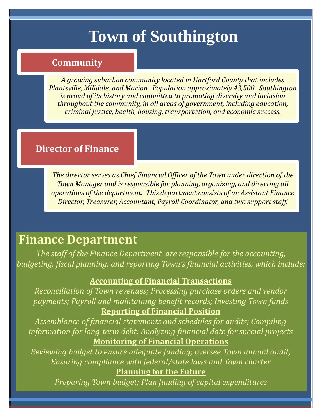## **Town of Southington**

#### **Community**

*A growing suburban community located in Hartford County that includes Plantsville, Milldale, and Marion. Population approximately 43,500. Southington is proud of its history and committed to promoting diversity and inclusion throughout the community, in all areas of government, including education, criminal justice, health, housing, transportation, and economic success.*

#### **Director of Finance**

*The director serves as Chief Financial Officer of the Town under direction of the Town Manager and is responsible for planning, organizing, and directing all operations of the department. This department consists of an Assistant Finance Director, Treasurer, Accountant, Payroll Coordinator, and two support staff.*

## **Finance Department**

*The staff of the Finance Department are responsible for the accounting, budgeting, fiscal planning, and reporting Town's financial activities, which include:* 

#### **Accounting of Financial Transactions**

*Reconciliation of Town revenues; Processing purchase orders and vendor payments; Payroll and maintaining benefit records; Investing Town funds* **Reporting of Financial Position**

*Assemblance of financial statements and schedules for audits; Compiling information for long-term debt; Analyzing financial date for special projects* **Monitoring of Financial Operations**

*Reviewing budget to ensure adequate funding; oversee Town annual audit; Ensuring compliance with federal/state laws and Town charter*

**Planning for the Future**

*Preparing Town budget; Plan funding of capital expenditures*